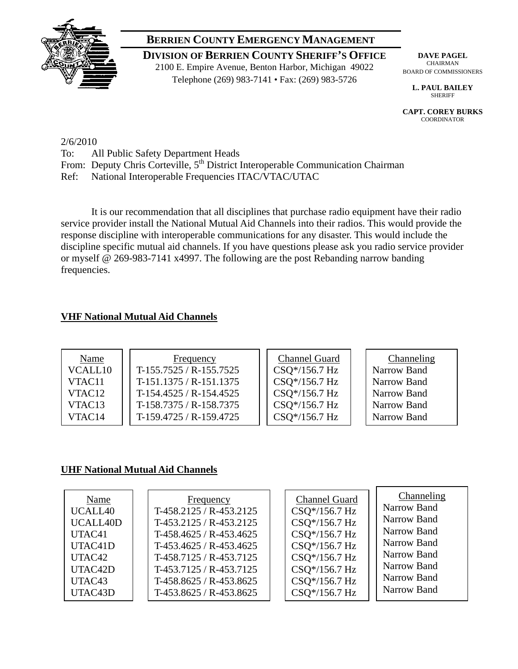

# **BERRIEN COUNTY EMERGENCY MANAGEMENT**

**DIVISION OF BERRIEN COUNTY SHERIFF'S OFFICE** 2100 E. Empire Avenue, Benton Harbor, Michigan 49022 Telephone (269) 983-7141 • Fax: (269) 983-5726

**DAVE PAGEL**  CHAIRMAN BOARD OF COMMISSIONERS

**L. PAUL BAILEY**  SHERIFF

**CAPT. COREY BURKS COORDINATOR** 

2/6/2010

- To: All Public Safety Department Heads
- From: Deputy Chris Corteville, 5<sup>th</sup> District Interoperable Communication Chairman

Ref: National Interoperable Frequencies ITAC/VTAC/UTAC

 It is our recommendation that all disciplines that purchase radio equipment have their radio service provider install the National Mutual Aid Channels into their radios. This would provide the response discipline with interoperable communications for any disaster. This would include the discipline specific mutual aid channels. If you have questions please ask you radio service provider or myself @ 269-983-7141 x4997. The following are the post Rebanding narrow banding frequencies.

## **VHF National Mutual Aid Channels**

| Name               | Frequency               | <b>Channel Guard</b> | Channeling  |
|--------------------|-------------------------|----------------------|-------------|
| VCALL10            | T-155.7525 / R-155.7525 | CSQ*/156.7 Hz        | Narrow Band |
| VTAC11             | $T-151.1375/R-151.1375$ | CSQ*/156.7 Hz        | Narrow Band |
| VTAC <sub>12</sub> | T-154.4525 / R-154.4525 | CSQ*/156.7 Hz        | Narrow Band |
| VTAC <sub>13</sub> | T-158.7375 / R-158.7375 | CSQ*/156.7 Hz        | Narrow Band |
| VTAC <sub>14</sub> | T-159.4725 / R-159.4725 | CSQ*/156.7 Hz        | Narrow Band |

## **UHF National Mutual Aid Channels**

| Name     | Frequency                 | <b>Channel Guard</b> | Channeling  |
|----------|---------------------------|----------------------|-------------|
| UCALL40  | T-458.2125 / R-453.2125   | CSQ*/156.7 Hz        | Narrow Band |
| UCALL40D | T-453.2125 / R-453.2125   | CSQ*/156.7 Hz        | Narrow Band |
| UTAC41   | T-458.4625 / R-453.4625   | CSQ*/156.7 Hz        | Narrow Band |
| UTAC41D  | $T-453.4625 / R-453.4625$ | CSQ*/156.7 Hz        | Narrow Band |
| UTAC42   | T-458.7125 / R-453.7125   | CSQ*/156.7 Hz        | Narrow Band |
| UTAC42D  | T-453.7125 / R-453.7125   | CSQ*/156.7 Hz        | Narrow Band |
| UTAC43   | T-458.8625 / R-453.8625   | CSQ*/156.7 Hz        | Narrow Band |
| UTAC43D  | T-453.8625 / R-453.8625   | CSQ*/156.7 Hz        | Narrow Band |